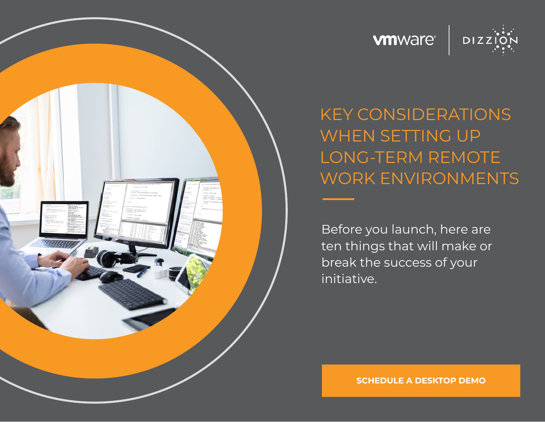





KEY CONSIDERATIONS WHEN SETTING UP LONG-TERM REMOTE WORK ENVIRONMENTS

Before you launch, here are ten things that will make or break the success of your initiative.

**[SCHEDULE A DESKTOP DEMO](https://www.dizzion.com/request-a-demo/)**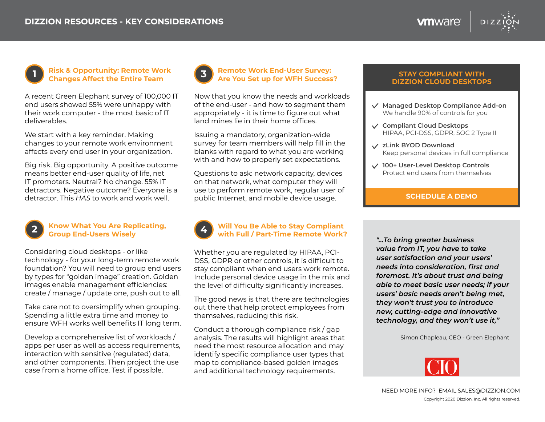**vm**ware



#### **Risk & Opportunity: Remote Work Changes Affect the Entire Team 1**

A recent Green Elephant survey of 100,000 IT end users showed 55% were unhappy with their work computer - the most basic of IT deliverables.

We start with a key reminder. Making changes to your remote work environment affects every end user in your organization.

Big risk. Big opportunity. A positive outcome means better end-user quality of life, net IT promoters. Neutral? No change. 55% IT detractors. Negative outcome? Everyone is a detractor. This *HAS* to work and work well.



#### **Know What You Are Replicating, Group End-Users Wisely 2**

Considering cloud desktops - or like technology - for your long-term remote work foundation? You will need to group end users by types for "golden image" creation. Golden images enable management efficiencies: create / manage / update one, push out to all.

Take care not to oversimplify when grouping. Spending a little extra time and money to ensure WFH works well benefits IT long term.

Develop a comprehensive list of workloads / apps per user as well as access requirements, interaction with sensitive (regulated) data, and other components. Then project the use case from a home office. Test if possible.



Now that you know the needs and workloads of the end-user - and how to segment them appropriately - it is time to figure out what land mines lie in their home offices.

Issuing a mandatory, organization-wide survey for team members will help fill in the blanks with regard to what you are working with and how to properly set expectations.

Questions to ask: network capacity, devices on that network, what computer they will use to perform remote work, regular user of public Internet, and mobile device usage.



#### **Will You Be Able to Stay Compliant with Full / Part-Time Remote Work? 4**

Whether you are regulated by HIPAA, PCI-DSS, GDPR or other controls, it is difficult to stay compliant when end users work remote. Include personal device usage in the mix and the level of difficulty significantly increases.

The good news is that there are technologies out there that help protect employees from themselves, reducing this risk.

Conduct a thorough compliance risk / gap analysis. The results will highlight areas that need the most resource allocation and may identify specific compliance user types that map to compliance-based golden images and additional technology requirements.

#### **STAY COMPLIANT WITH DIZZION CLOUD DESKTOPS**

- **Managed Desktop Compliance Add-on** We handle 90% of controls for you
- **Compliant Cloud Desktops** HIPAA, PCI-DSS, GDPR, SOC 2 Type II
- **zLink BYOD Download** Keep personal devices in full compliance
- **100+ User-Level Desktop Controls** Protect end users from themselves

#### **[SCHEDULE A DEMO](https://www.dizzion.com/request-a-demo/)**

*"...To bring greater business value from IT, you have to take user satisfaction and your users' needs into consideration, first and foremost. It's about trust and being able to meet basic user needs; if your users' basic needs aren't being met, they won't trust you to introduce new, cutting-edge and innovative technology, and they won't use it,"*

Simon Chapleau, CEO - Green Elephant

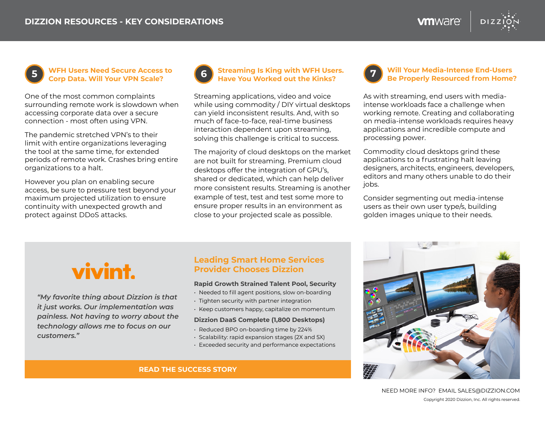**WFH Users Need Secure Access to Corp Data. Will Your VPN Scale?**

One of the most common complaints surrounding remote work is slowdown when accessing corporate data over a secure connection - most often using VPN.

The pandemic stretched VPN's to their limit with entire organizations leveraging the tool at the same time, for extended periods of remote work. Crashes bring entire organizations to a halt.

However you plan on enabling secure access, be sure to pressure test beyond your maximum projected utilization to ensure continuity with unexpected growth and protect against DDoS attacks.



#### **5 Streaming Is King with WFH Users. Have You Worked out the Kinks? 6**

Streaming applications, video and voice while using commodity / DIY virtual desktops can yield inconsistent results. And, with so much of face-to-face, real-time business interaction dependent upon streaming, solving this challenge is critical to success.

The majority of cloud desktops on the market are not built for streaming. Premium cloud desktops offer the integration of GPU's, shared or dedicated, which can help deliver more consistent results. Streaming is another example of test, test and test some more to ensure proper results in an environment as close to your projected scale as possible.

#### **Will Your Media-Intense End-Users Be Properly Resourced from Home? 7**

As with streaming, end users with mediaintense workloads face a challenge when working remote. Creating and collaborating on media-intense workloads requires heavy applications and incredible compute and processing power.

**vm**ware<sup>®</sup>

Commodity cloud desktops grind these applications to a frustrating halt leaving designers, architects, engineers, developers, editors and many others unable to do their jobs.

Consider segmenting out media-intense users as their own user type/s, building golden images unique to their needs.



*"My favorite thing about Dizzion is that it just works. Our implementation was painless. Not having to worry about the technology allows me to focus on our customers."*

### **Leading Smart Home Services Provider Chooses Dizzion**

#### **Rapid Growth Strained Talent Pool, Security**

- Needed to fill agent positions, slow on-boarding
- Tighten security with partner integration
- Keep customers happy, capitalize on momentum

#### **Dizzion DaaS Complete (1,800 Desktops)**

- Reduced BPO on-boarding time by 224%
- Scalability: rapid expansion stages (2X and 5X)
- Exceeded security and performance expectations

**[READ THE SUCCESS STORY](https://www.dizzion.com/wp-content/uploads/2020/12/dizzion-managed-daas-case-study-vivint.pdf)**



Copyright 2020 Dizzion, Inc. All rights reserved. NEED MORE INFO? EMAIL [SALES@DIZZION.COM](mailto:SALES%40DIZZION.COM?subject=)

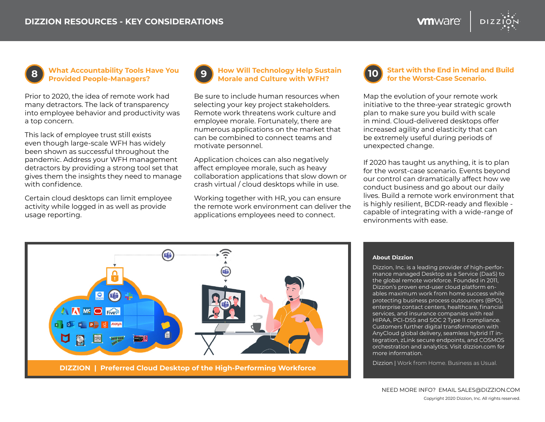

**8 What Accountability Tools Have You** (9) How Will Technology Help Sustain **Browled Beople-Managers Provided People-Managers?**

Prior to 2020, the idea of remote work had many detractors. The lack of transparency into employee behavior and productivity was a top concern.

This lack of employee trust still exists even though large-scale WFH has widely been shown as successful throughout the pandemic. Address your WFH management detractors by providing a strong tool set that gives them the insights they need to manage with confidence.

Certain cloud desktops can limit employee activity while logged in as well as provide usage reporting.



## **How Will Technology Help Sustain**<br>**Morale and Culture with WFH?**

Be sure to include human resources when selecting your key project stakeholders. Remote work threatens work culture and employee morale. Fortunately, there are numerous applications on the market that can be combined to connect teams and motivate personnel.

Application choices can also negatively affect employee morale, such as heavy collaboration applications that slow down or crash virtual / cloud desktops while in use.

Working together with HR, you can ensure the remote work environment can deliver the applications employees need to connect.



#### **Start with the End in Mind and Build for the Worst-Case Scenario.**

Map the evolution of your remote work initiative to the three-year strategic growth plan to make sure you build with scale in mind. Cloud-delivered desktops offer increased agility and elasticity that can be extremely useful during periods of unexpected change.

If 2020 has taught us anything, it is to plan for the worst-case scenario. Events beyond our control can dramatically affect how we conduct business and go about our daily lives. Build a remote work environment that is highly resilient, BCDR-ready and flexible capable of integrating with a wide-range of environments with ease.



#### **About Dizzion**

Dizzion, Inc. is a leading provider of high-performance managed Desktop as a Service (DaaS) to the global remote workforce. Founded in 2011, Dizzion's proven end-user cloud platform enables maximum work from home success while protecting business process outsourcers (BPO), enterprise contact centers, healthcare, financial services, and insurance companies with real HIPAA, PCI-DSS and SOC 2 Type II compliance. Customers further digital transformation with AnyCloud global delivery, seamless hybrid IT integration, zLink secure endpoints, and COSMOS orchestration and analytics. Visit dizzion.com for more information.

Dizzion | Work from Home. Business as Usual.